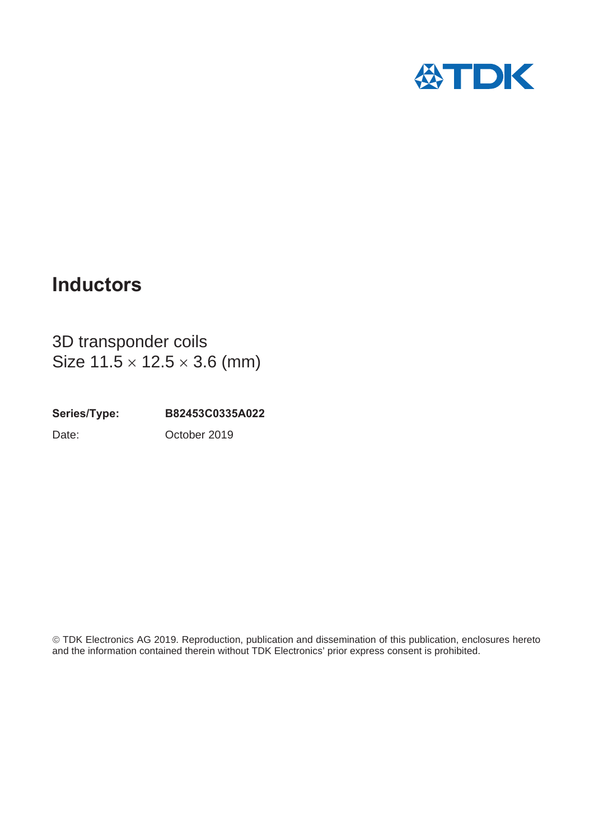

# **Inductors**

3D transponder coils Size  $11.5 \times 12.5 \times 3.6$  (mm)

**Series/Type: B82453C0335A022** Date: October 2019

¤TDK Electronics AG 2019. Reproduction, publication and dissemination of this publication, enclosures hereto and the information contained therein without TDK Electronics' prior express consent is prohibited.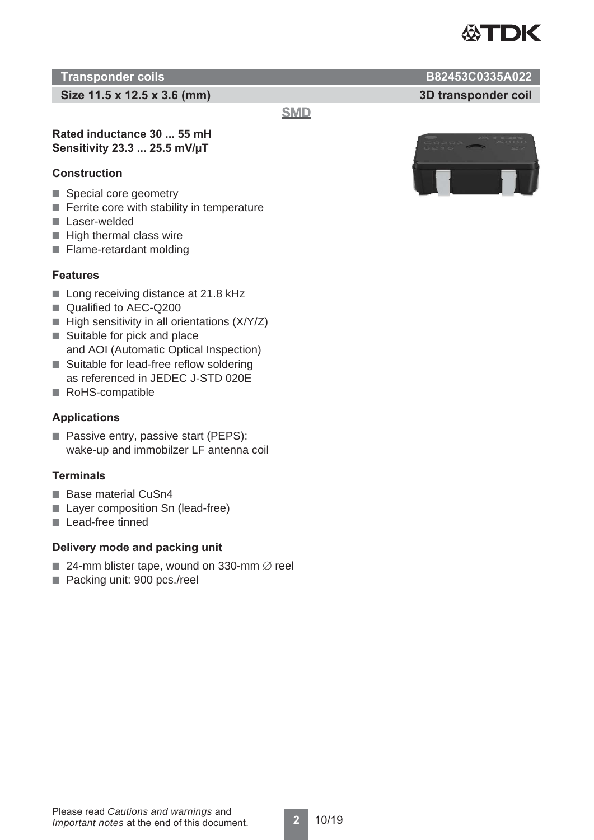

## **Transponder coils B82453C0335A022**

**Size 11.5 x 12.5 x 3.6 (mm) 3D transponder coil**

**SMD** 

## **Rated inductance 30 ... 55 mH Sensitivity 23.3 ... 25.5 mV/μT**

## **Construction**

- Special core geometry
- Ferrite core with stability in temperature
- Laser-welded
- High thermal class wire
- Flame-retardant molding

## **Features**

- Long receiving distance at 21.8 kHz
- Qualified to AEC-Q200
- High sensitivity in all orientations (X/Y/Z)
- Suitable for pick and place and AOI (Automatic Optical Inspection)
- Suitable for lead-free reflow soldering as referenced in JEDEC J-STD 020E
- 
- RoHS-compatible

## **Applications**

■ Passive entry, passive start (PEPS): wake-up and immobilzer LF antenna coil

## **Terminals**

- Base material CuSn4
- Laver composition Sn (lead-free)
- Lead-free tinned

## **Delivery mode and packing unit**

- 24-mm blister tape, wound on 330-mm  $\emptyset$  reel
- Packing unit: 900 pcs./reel

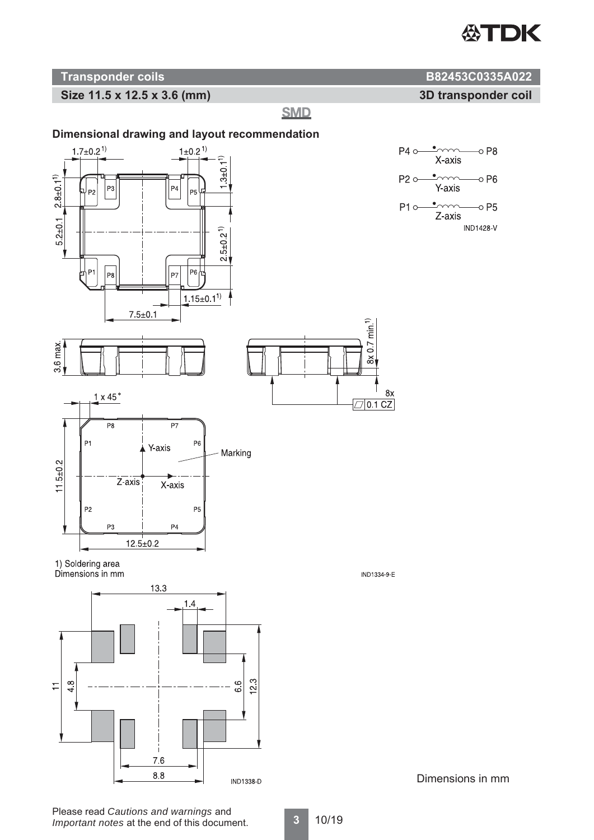

## **Size 11.5 x 12.5 x 3.6 (mm) 3D transponder coil**

**SMD** 





Dimensions in mm

**Transponder coils B82453C0335A022** 

 $\sim$ 

X-axis  $\cdot$ 

Y-axis

 $\bullet$ 

Z-axis

 $\circ$  P8

 $\sim$  P6

 $\circ$  P5

**IND1428-V**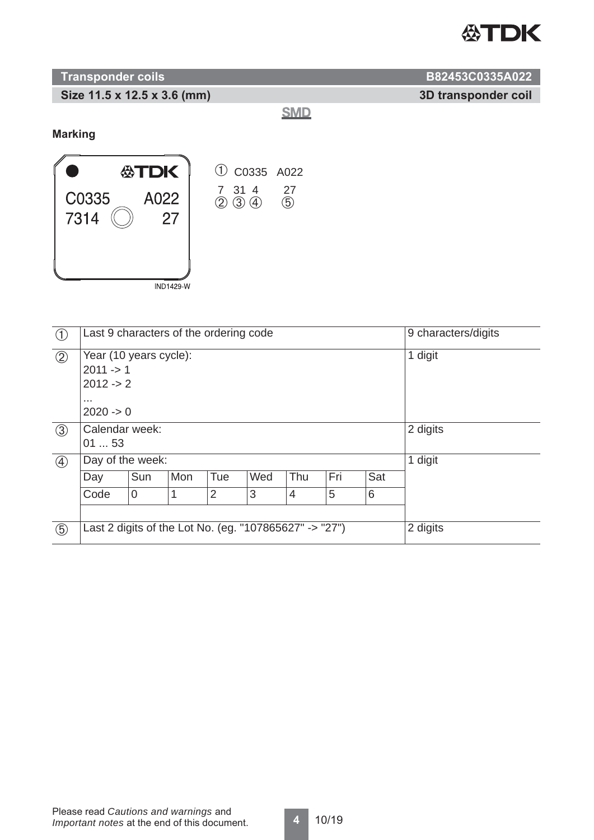

## **Transponder coils** B82453C0335A022

**Size 11.5 x 12.5 x 3.6 (mm) 3D transponder coil**

**SMD** 

**Marking**



| $\bigcirc$    | Last 9 characters of the ordering code                                          |                | 9 characters/digits |                |     |                |     |     |          |
|---------------|---------------------------------------------------------------------------------|----------------|---------------------|----------------|-----|----------------|-----|-----|----------|
| (2)           | Year (10 years cycle):<br>$2011 - > 1$<br>$2012 - 2$<br>$\cdots$<br>$2020 -> 0$ |                |                     |                |     |                |     |     | 1 digit  |
| $\circled{3}$ | Calendar week:<br>0153                                                          |                | 2 digits            |                |     |                |     |     |          |
| $\circled{4}$ | Day of the week:                                                                |                | 1 digit             |                |     |                |     |     |          |
|               | Day                                                                             | Sun            | Mon                 | Tue            | Wed | Thu            | Fri | Sat |          |
|               | Code                                                                            | $\overline{0}$ |                     | $\overline{2}$ | 3   | $\overline{4}$ | 5   | 6   |          |
|               |                                                                                 |                |                     |                |     |                |     |     |          |
| $\circled{5}$ | Last 2 digits of the Lot No. (eg. "107865627" -> "27")                          |                |                     |                |     |                |     |     | 2 digits |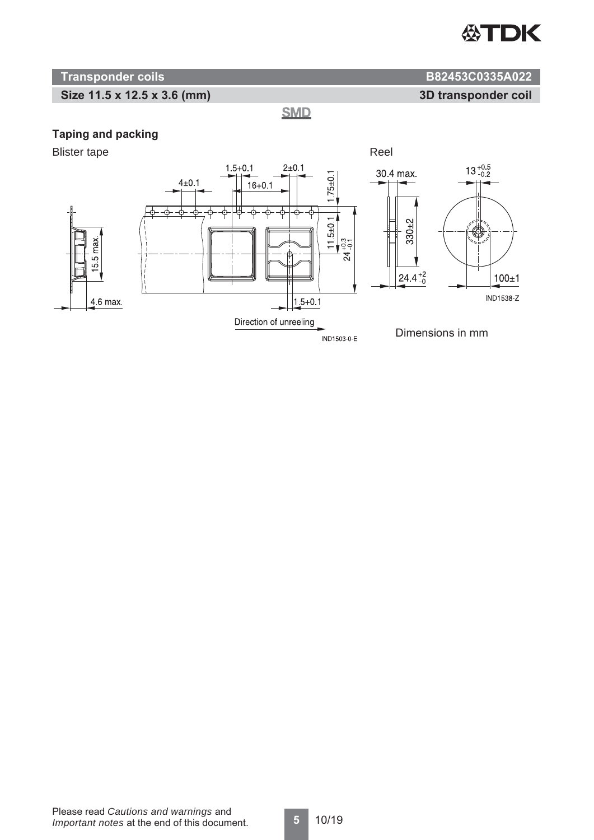

**3D transponder coil**

## **Transponder coils B82453C0335A022**

## **Size 11.5 x 12.5 x 3.6 (mm)**

**SMD** 

## **Taping and packing**

Blister tape Reel

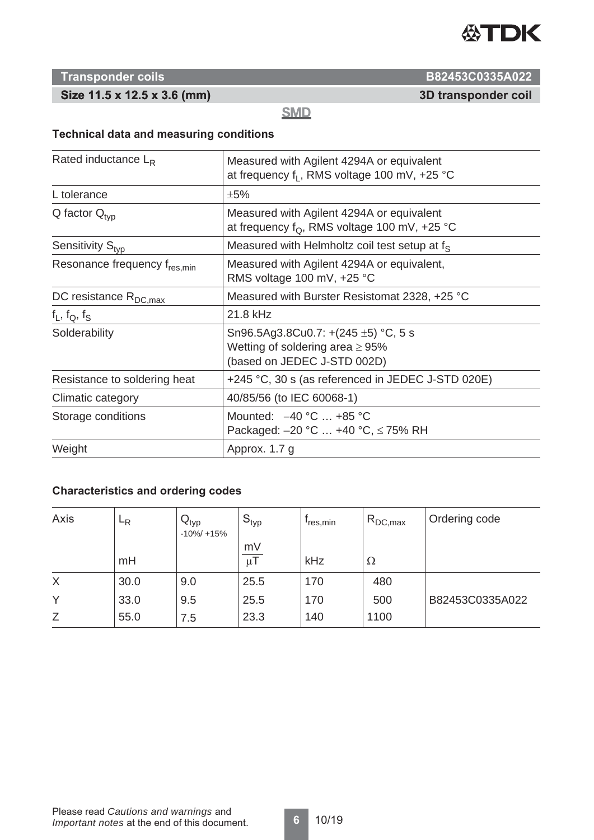

## **Size 11.5 x 12.5 x 3.6 (mm)**

**Transponder coils B82453C0335A022**

**3D transponder coil**

**SMD** 

## **Technical data and measuring conditions**

| Rated inductance $L_R$                   | Measured with Agilent 4294A or equivalent<br>at frequency f <sub>1</sub> , RMS voltage 100 mV, +25 °C            |  |  |  |  |
|------------------------------------------|------------------------------------------------------------------------------------------------------------------|--|--|--|--|
| L tolerance                              | ±5%                                                                                                              |  |  |  |  |
| $Q$ factor $Q_{\text{two}}$              | Measured with Agilent 4294A or equivalent<br>at frequency $f_{\Omega}$ , RMS voltage 100 mV, +25 °C              |  |  |  |  |
| Sensitivity S <sub>tvp</sub>             | Measured with Helmholtz coil test setup at $f_s$                                                                 |  |  |  |  |
| Resonance frequency f <sub>res.min</sub> | Measured with Agilent 4294A or equivalent,<br>RMS voltage 100 mV, +25 °C                                         |  |  |  |  |
| DC resistance $R_{DC,max}$               | Measured with Burster Resistomat 2328, +25 °C                                                                    |  |  |  |  |
| $f_L$ , $f_Q$ , $f_S$                    | 21.8 kHz                                                                                                         |  |  |  |  |
| Solderability                            | Sn96.5Ag3.8Cu0.7: +(245 $\pm$ 5) °C, 5 s<br>Wetting of soldering area $\geq 95\%$<br>(based on JEDEC J-STD 002D) |  |  |  |  |
| Resistance to soldering heat             | +245 °C, 30 s (as referenced in JEDEC J-STD 020E)                                                                |  |  |  |  |
| Climatic category                        | 40/85/56 (to IEC 60068-1)                                                                                        |  |  |  |  |
| Storage conditions                       | Mounted: $-40 °C$ +85 °C<br>Packaged: $-20$ °C  +40 °C, $\leq$ 75% RH                                            |  |  |  |  |
| Weight                                   | Approx. 1.7 g                                                                                                    |  |  |  |  |

## **Characteristics and ordering codes**

| Axis | $E_R$ | $\mathsf{I} \mathsf{Q}_{\mathsf{typ}}$<br>$-10\% / +15\%$ | $\mathsf{S}_{\mathsf{typ}}$ | <sup>1</sup> res,min | $R_{DC,max}$ | Ordering code   |
|------|-------|-----------------------------------------------------------|-----------------------------|----------------------|--------------|-----------------|
|      | mH    |                                                           | mV<br>$\mu$ l               | kHz                  | Ω            |                 |
| X    | 30.0  | 9.0                                                       | 25.5                        | 170                  | 480          |                 |
| Υ    | 33.0  | 9.5                                                       | 25.5                        | 170                  | 500          | B82453C0335A022 |
| Ζ    | 55.0  | 7.5                                                       | 23.3                        | 140                  | 1100         |                 |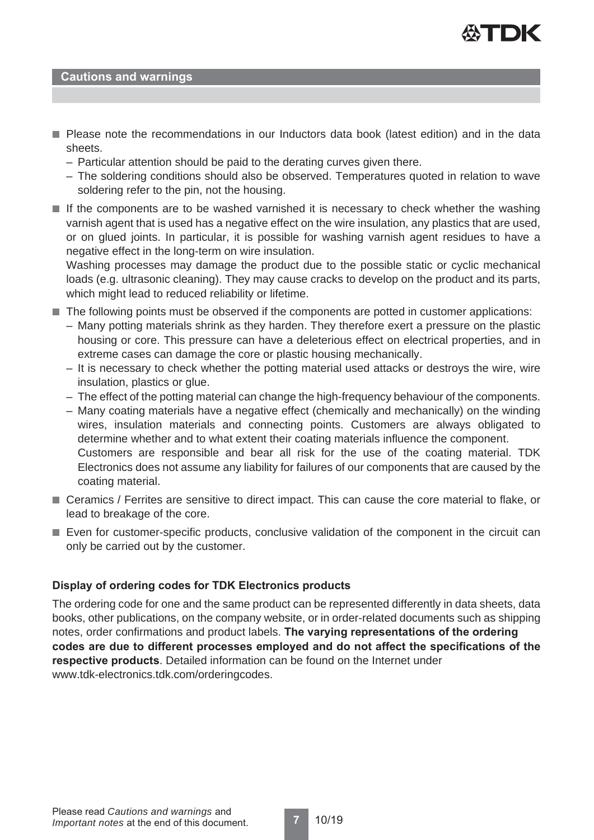

## **Cautions and warnings**

- Please note the recommendations in our Inductors data book (latest edition) and in the data sheets.
	- Particular attention should be paid to the derating curves given there.
	- The soldering conditions should also be observed. Temperatures quoted in relation to wave soldering refer to the pin, not the housing.
- If the components are to be washed varnished it is necessary to check whether the washing varnish agent that is used has a negative effect on the wire insulation, any plastics that are used, or on glued joints. In particular, it is possible for washing varnish agent residues to have a negative effect in the long-term on wire insulation.

Washing processes may damage the product due to the possible static or cyclic mechanical loads (e.g. ultrasonic cleaning). They may cause cracks to develop on the product and its parts, which might lead to reduced reliability or lifetime.

- The following points must be observed if the components are potted in customer applications:
	- Many potting materials shrink as they harden. They therefore exert a pressure on the plastic housing or core. This pressure can have a deleterious effect on electrical properties, and in extreme cases can damage the core or plastic housing mechanically.
	- It is necessary to check whether the potting material used attacks or destroys the wire, wire insulation, plastics or glue.
	- The effect of the potting material can change the high-frequency behaviour of the components.
	- Many coating materials have a negative effect (chemically and mechanically) on the winding wires, insulation materials and connecting points. Customers are always obligated to determine whether and to what extent their coating materials influence the component. Customers are responsible and bear all risk for the use of the coating material. TDK Electronics does not assume any liability for failures of our components that are caused by the coating material.
- Ceramics / Ferrites are sensitive to direct impact. This can cause the core material to flake, or lead to breakage of the core.
- Even for customer-specific products, conclusive validation of the component in the circuit can only be carried out by the customer.

## **Display of ordering codes for TDK Electronics products**

The ordering code for one and the same product can be represented differently in data sheets, data books, other publications, on the company website, or in order-related documents such as shipping notes, order confirmations and product labels. **The varying representations of the ordering codes are due to different processes employed and do not affect the specifications of the respective products**. Detailed information can be found on the Internet under www.tdk-electronics.tdk.com/orderingcodes.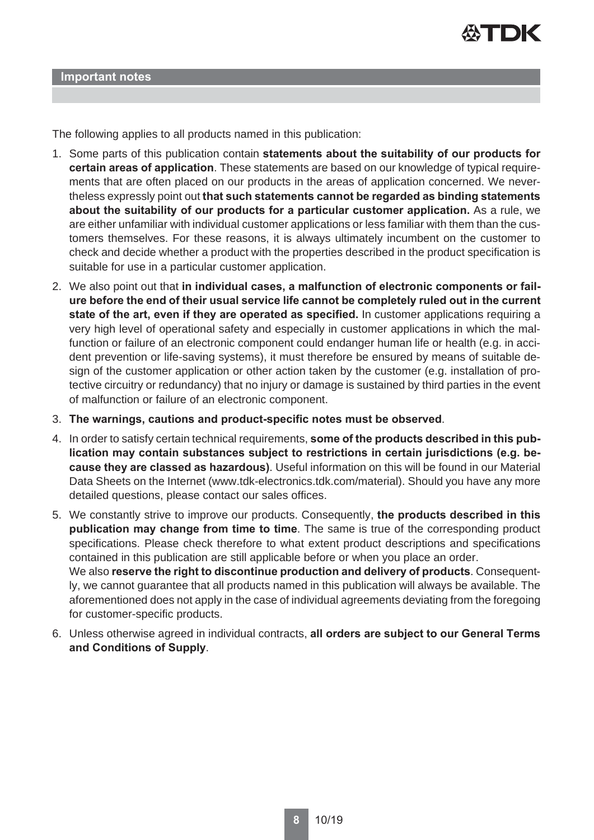

The following applies to all products named in this publication:

- 1. Some parts of this publication contain **statements about the suitability of our products for certain areas of application**. These statements are based on our knowledge of typical requirements that are often placed on our products in the areas of application concerned. We nevertheless expressly point out **that such statements cannot be regarded as binding statements about the suitability of our products for a particular customer application.** As a rule, we are either unfamiliar with individual customer applications or less familiar with them than the customers themselves. For these reasons, it is always ultimately incumbent on the customer to check and decide whether a product with the properties described in the product specification is suitable for use in a particular customer application.
- 2. We also point out that **in individual cases, a malfunction of electronic components or failure before the end of their usual service life cannot be completely ruled out in the current state of the art, even if they are operated as specified.** In customer applications requiring a very high level of operational safety and especially in customer applications in which the malfunction or failure of an electronic component could endanger human life or health (e.g. in accident prevention or life-saving systems), it must therefore be ensured by means of suitable design of the customer application or other action taken by the customer (e.g. installation of protective circuitry or redundancy) that no injury or damage is sustained by third parties in the event of malfunction or failure of an electronic component.
- 3. **The warnings, cautions and product-specific notes must be observed**.
- 4. In order to satisfy certain technical requirements, **some of the products described in this publication may contain substances subject to restrictions in certain jurisdictions (e.g. because they are classed as hazardous)**. Useful information on this will be found in our Material Data Sheets on the Internet (www.tdk-electronics.tdk.com/material). Should you have any more detailed questions, please contact our sales offices.
- 5. We constantly strive to improve our products. Consequently, **the products described in this publication may change from time to time**. The same is true of the corresponding product specifications. Please check therefore to what extent product descriptions and specifications contained in this publication are still applicable before or when you place an order. We also **reserve the right to discontinue production and delivery of products**. Consequently, we cannot guarantee that all products named in this publication will always be available. The aforementioned does not apply in the case of individual agreements deviating from the foregoing for customer-specific products.
- 6. Unless otherwise agreed in individual contracts, **all orders are subject to our General Terms and Conditions of Supply**.